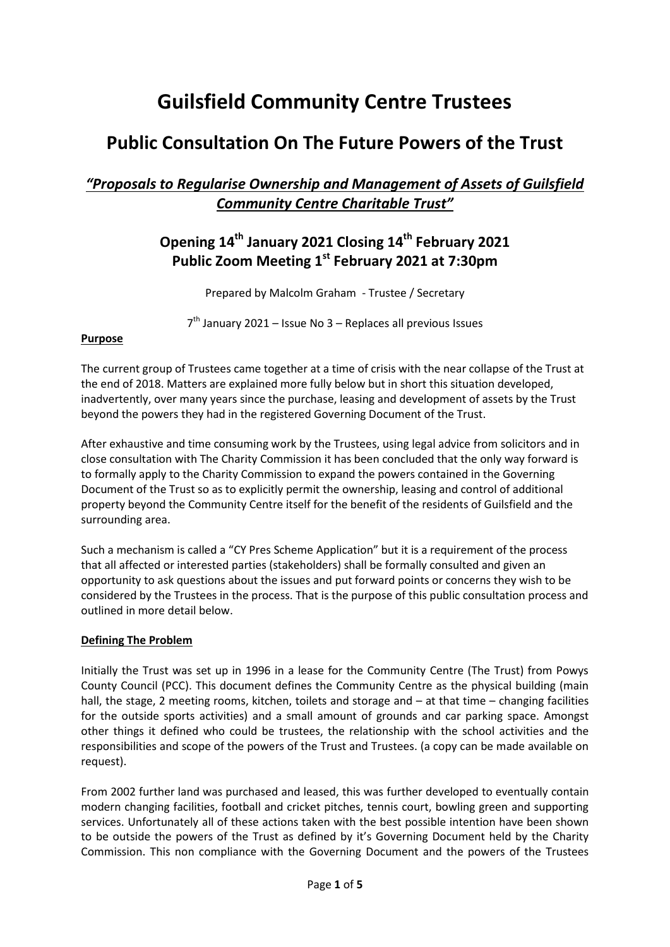# **Guilsfield Community Centre Trustees**

# **Public Consultation On The Future Powers of the Trust**

### *"Proposals to Regularise Ownership and Management of Assets of Guilsfield Community Centre Charitable Trust"*

## **Opening 14th January 2021 Closing 14th February 2021 Public Zoom Meeting 1 st February 2021 at 7:30pm**

Prepared by Malcolm Graham - Trustee / Secretary

7<sup>th</sup> January 2021 – Issue No 3 – Replaces all previous Issues

#### **Purpose**

The current group of Trustees came together at a time of crisis with the near collapse of the Trust at the end of 2018. Matters are explained more fully below but in short this situation developed, inadvertently, over many years since the purchase, leasing and development of assets by the Trust beyond the powers they had in the registered Governing Document of the Trust.

After exhaustive and time consuming work by the Trustees, using legal advice from solicitors and in close consultation with The Charity Commission it has been concluded that the only way forward is to formally apply to the Charity Commission to expand the powers contained in the Governing Document of the Trust so as to explicitly permit the ownership, leasing and control of additional property beyond the Community Centre itself for the benefit of the residents of Guilsfield and the surrounding area.

Such a mechanism is called a "CY Pres Scheme Application" but it is a requirement of the process that all affected or interested parties (stakeholders) shall be formally consulted and given an opportunity to ask questions about the issues and put forward points or concerns they wish to be considered by the Trustees in the process. That is the purpose of this public consultation process and outlined in more detail below.

#### **Defining The Problem**

Initially the Trust was set up in 1996 in a lease for the Community Centre (The Trust) from Powys County Council (PCC). This document defines the Community Centre as the physical building (main hall, the stage, 2 meeting rooms, kitchen, toilets and storage and – at that time – changing facilities for the outside sports activities) and a small amount of grounds and car parking space. Amongst other things it defined who could be trustees, the relationship with the school activities and the responsibilities and scope of the powers of the Trust and Trustees. (a copy can be made available on request).

From 2002 further land was purchased and leased, this was further developed to eventually contain modern changing facilities, football and cricket pitches, tennis court, bowling green and supporting services. Unfortunately all of these actions taken with the best possible intention have been shown to be outside the powers of the Trust as defined by it's Governing Document held by the Charity Commission. This non compliance with the Governing Document and the powers of the Trustees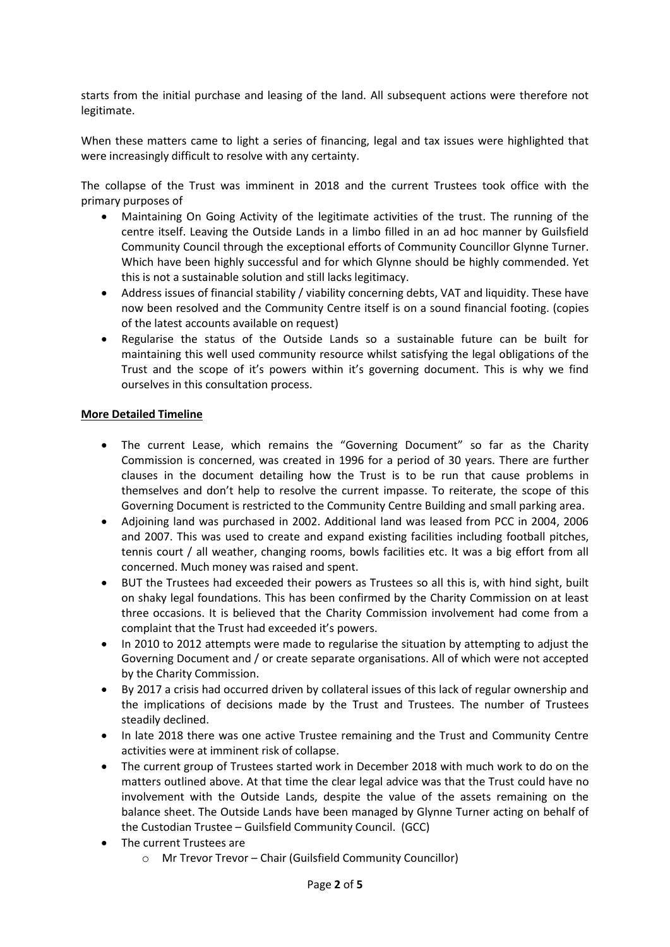starts from the initial purchase and leasing of the land. All subsequent actions were therefore not legitimate.

When these matters came to light a series of financing, legal and tax issues were highlighted that were increasingly difficult to resolve with any certainty.

The collapse of the Trust was imminent in 2018 and the current Trustees took office with the primary purposes of

- Maintaining On Going Activity of the legitimate activities of the trust. The running of the centre itself. Leaving the Outside Lands in a limbo filled in an ad hoc manner by Guilsfield Community Council through the exceptional efforts of Community Councillor Glynne Turner. Which have been highly successful and for which Glynne should be highly commended. Yet this is not a sustainable solution and still lacks legitimacy.
- Address issues of financial stability / viability concerning debts, VAT and liquidity. These have now been resolved and the Community Centre itself is on a sound financial footing. (copies of the latest accounts available on request)
- Regularise the status of the Outside Lands so a sustainable future can be built for maintaining this well used community resource whilst satisfying the legal obligations of the Trust and the scope of it's powers within it's governing document. This is why we find ourselves in this consultation process.

#### **More Detailed Timeline**

- The current Lease, which remains the "Governing Document" so far as the Charity Commission is concerned, was created in 1996 for a period of 30 years. There are further clauses in the document detailing how the Trust is to be run that cause problems in themselves and don't help to resolve the current impasse. To reiterate, the scope of this Governing Document is restricted to the Community Centre Building and small parking area.
- Adjoining land was purchased in 2002. Additional land was leased from PCC in 2004, 2006 and 2007. This was used to create and expand existing facilities including football pitches, tennis court / all weather, changing rooms, bowls facilities etc. It was a big effort from all concerned. Much money was raised and spent.
- BUT the Trustees had exceeded their powers as Trustees so all this is, with hind sight, built on shaky legal foundations. This has been confirmed by the Charity Commission on at least three occasions. It is believed that the Charity Commission involvement had come from a complaint that the Trust had exceeded it's powers.
- In 2010 to 2012 attempts were made to regularise the situation by attempting to adjust the Governing Document and / or create separate organisations. All of which were not accepted by the Charity Commission.
- By 2017 a crisis had occurred driven by collateral issues of this lack of regular ownership and the implications of decisions made by the Trust and Trustees. The number of Trustees steadily declined.
- In late 2018 there was one active Trustee remaining and the Trust and Community Centre activities were at imminent risk of collapse.
- The current group of Trustees started work in December 2018 with much work to do on the matters outlined above. At that time the clear legal advice was that the Trust could have no involvement with the Outside Lands, despite the value of the assets remaining on the balance sheet. The Outside Lands have been managed by Glynne Turner acting on behalf of the Custodian Trustee – Guilsfield Community Council. (GCC)
- The current Trustees are
	- o Mr Trevor Trevor Chair (Guilsfield Community Councillor)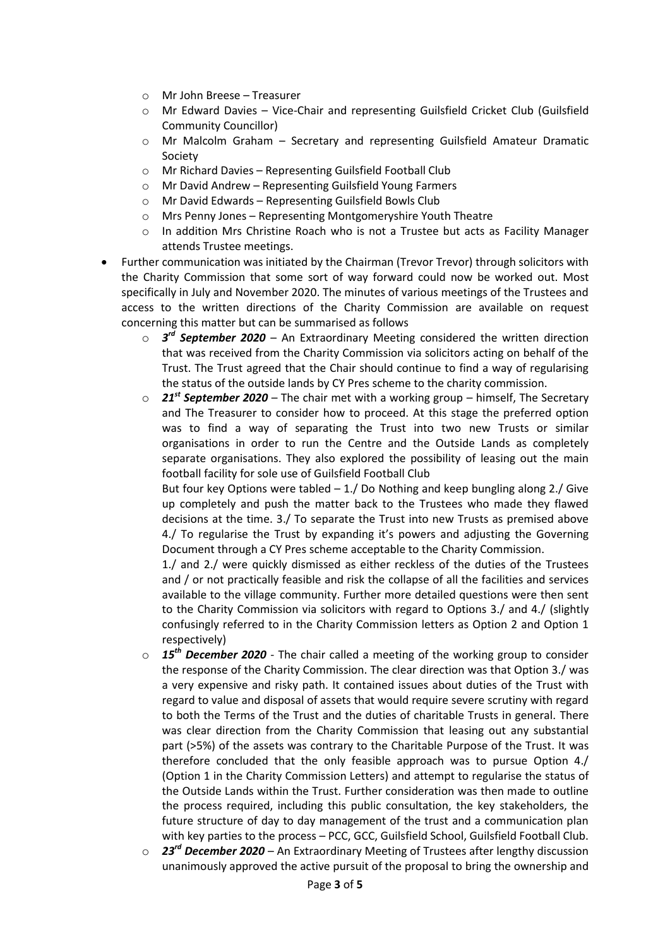- o Mr John Breese Treasurer
- o Mr Edward Davies Vice-Chair and representing Guilsfield Cricket Club (Guilsfield Community Councillor)
- o Mr Malcolm Graham Secretary and representing Guilsfield Amateur Dramatic Society
- o Mr Richard Davies Representing Guilsfield Football Club
- o Mr David Andrew Representing Guilsfield Young Farmers
- o Mr David Edwards Representing Guilsfield Bowls Club
- o Mrs Penny Jones Representing Montgomeryshire Youth Theatre
- $\circ$  In addition Mrs Christine Roach who is not a Trustee but acts as Facility Manager attends Trustee meetings.
- Further communication was initiated by the Chairman (Trevor Trevor) through solicitors with the Charity Commission that some sort of way forward could now be worked out. Most specifically in July and November 2020. The minutes of various meetings of the Trustees and access to the written directions of the Charity Commission are available on request concerning this matter but can be summarised as follows
	- o *3 rd September 2020* An Extraordinary Meeting considered the written direction that was received from the Charity Commission via solicitors acting on behalf of the Trust. The Trust agreed that the Chair should continue to find a way of regularising the status of the outside lands by CY Pres scheme to the charity commission.
	- o *21st September 2020* The chair met with a working group himself, The Secretary and The Treasurer to consider how to proceed. At this stage the preferred option was to find a way of separating the Trust into two new Trusts or similar organisations in order to run the Centre and the Outside Lands as completely separate organisations. They also explored the possibility of leasing out the main football facility for sole use of Guilsfield Football Club

But four key Options were tabled  $-1$ . Do Nothing and keep bungling along 2. Give up completely and push the matter back to the Trustees who made they flawed decisions at the time. 3./ To separate the Trust into new Trusts as premised above 4./ To regularise the Trust by expanding it's powers and adjusting the Governing Document through a CY Pres scheme acceptable to the Charity Commission.

1./ and 2./ were quickly dismissed as either reckless of the duties of the Trustees and / or not practically feasible and risk the collapse of all the facilities and services available to the village community. Further more detailed questions were then sent to the Charity Commission via solicitors with regard to Options 3./ and 4./ (slightly confusingly referred to in the Charity Commission letters as Option 2 and Option 1 respectively)

- o *15th December 2020* The chair called a meeting of the working group to consider the response of the Charity Commission. The clear direction was that Option 3./ was a very expensive and risky path. It contained issues about duties of the Trust with regard to value and disposal of assets that would require severe scrutiny with regard to both the Terms of the Trust and the duties of charitable Trusts in general. There was clear direction from the Charity Commission that leasing out any substantial part (>5%) of the assets was contrary to the Charitable Purpose of the Trust. It was therefore concluded that the only feasible approach was to pursue Option 4./ (Option 1 in the Charity Commission Letters) and attempt to regularise the status of the Outside Lands within the Trust. Further consideration was then made to outline the process required, including this public consultation, the key stakeholders, the future structure of day to day management of the trust and a communication plan with key parties to the process – PCC, GCC, Guilsfield School, Guilsfield Football Club.
- o *23rd December 2020* An Extraordinary Meeting of Trustees after lengthy discussion unanimously approved the active pursuit of the proposal to bring the ownership and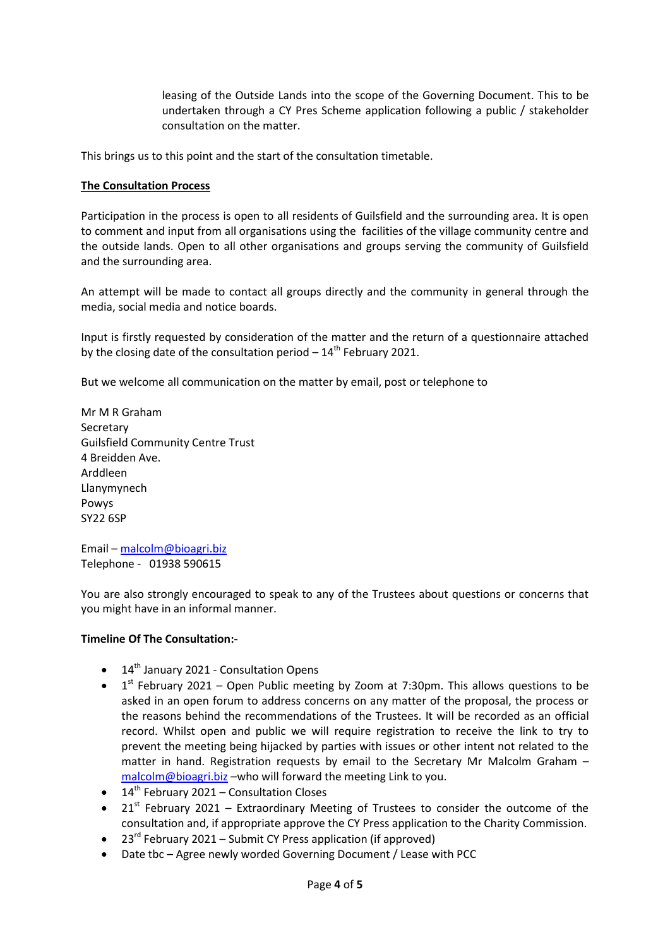leasing of the Outside Lands into the scope of the Governing Document. This to be undertaken through a CY Pres Scheme application following a public / stakeholder consultation on the matter.

This brings us to this point and the start of the consultation timetable.

#### **The Consultation Process**

Participation in the process is open to all residents of Guilsfield and the surrounding area. It is open to comment and input from all organisations using the facilities of the village community centre and the outside lands. Open to all other organisations and groups serving the community of Guilsfield and the surrounding area.

An attempt will be made to contact all groups directly and the community in general through the media, social media and notice boards.

Input is firstly requested by consideration of the matter and the return of a questionnaire attached by the closing date of the consultation period  $-14<sup>th</sup>$  February 2021.

But we welcome all communication on the matter by email, post or telephone to

Mr M R Graham Secretary Guilsfield Community Centre Trust 4 Breidden Ave. Arddleen Llanymynech Powys SY22 6SP

Email – [malcolm@bioagri.biz](mailto:malcolm@bioagri.biz) Telephone - 01938 590615

You are also strongly encouraged to speak to any of the Trustees about questions or concerns that you might have in an informal manner.

#### **Timeline Of The Consultation:-**

- $\bullet$  14<sup>th</sup> January 2021 Consultation Opens
- $1<sup>st</sup>$  February 2021 Open Public meeting by Zoom at 7:30pm. This allows questions to be asked in an open forum to address concerns on any matter of the proposal, the process or the reasons behind the recommendations of the Trustees. It will be recorded as an official record. Whilst open and public we will require registration to receive the link to try to prevent the meeting being hijacked by parties with issues or other intent not related to the matter in hand. Registration requests by email to the Secretary Mr Malcolm Graham – [malcolm@bioagri.biz](mailto:malcolm@bioagri.biz) –who will forward the meeting Link to you.
- $\bullet$  14<sup>th</sup> February 2021 Consultation Closes
- $21<sup>st</sup>$  February 2021 Extraordinary Meeting of Trustees to consider the outcome of the consultation and, if appropriate approve the CY Press application to the Charity Commission.
- 23<sup>rd</sup> February 2021 Submit CY Press application (if approved)
- Date tbc Agree newly worded Governing Document / Lease with PCC